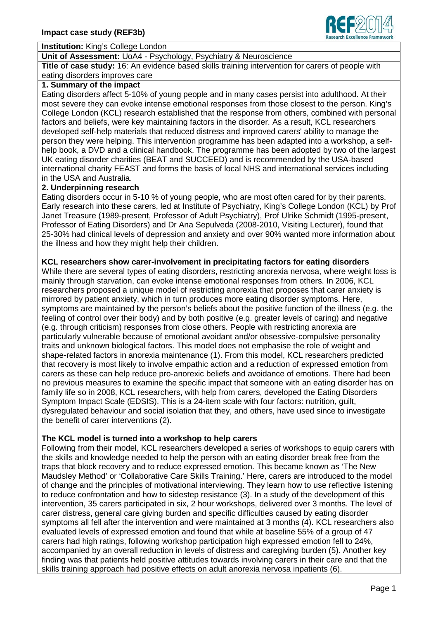

# **Institution:** King's College London

#### **Unit of Assessment:** UoA4 - Psychology, Psychiatry & Neuroscience

**Title of case study:** 16: An evidence based skills training intervention for carers of people with eating disorders improves care

#### **1. Summary of the impact**

Eating disorders affect 5-10% of young people and in many cases persist into adulthood. At their most severe they can evoke intense emotional responses from those closest to the person. King's College London (KCL) research established that the response from others, combined with personal factors and beliefs, were key maintaining factors in the disorder. As a result, KCL researchers developed self-help materials that reduced distress and improved carers' ability to manage the person they were helping. This intervention programme has been adapted into a workshop, a selfhelp book, a DVD and a clinical handbook. The programme has been adopted by two of the largest UK eating disorder charities (BEAT and SUCCEED) and is recommended by the USA-based international charity FEAST and forms the basis of local NHS and international services including in the USA and Australia.

#### **2. Underpinning research**

Eating disorders occur in 5-10 % of young people, who are most often cared for by their parents. Early research into these carers, led at Institute of Psychiatry, King's College London (KCL) by Prof Janet Treasure (1989-present, Professor of Adult Psychiatry), Prof Ulrike Schmidt (1995-present, Professor of Eating Disorders) and Dr Ana Sepulveda (2008-2010, Visiting Lecturer), found that 25-30% had clinical levels of depression and anxiety and over 90% wanted more information about the illness and how they might help their children.

#### **KCL researchers show carer-involvement in precipitating factors for eating disorders**

While there are several types of eating disorders, restricting anorexia nervosa, where weight loss is mainly through starvation, can evoke intense emotional responses from others. In 2006, KCL researchers proposed a unique model of restricting anorexia that proposes that carer anxiety is mirrored by patient anxiety, which in turn produces more eating disorder symptoms. Here, symptoms are maintained by the person's beliefs about the positive function of the illness (e.g. the feeling of control over their body) and by both positive (e.g. greater levels of caring) and negative (e.g. through criticism) responses from close others. People with restricting anorexia are particularly vulnerable because of emotional avoidant and/or obsessive-compulsive personality traits and unknown biological factors. This model does not emphasise the role of weight and shape-related factors in anorexia maintenance (1). From this model, KCL researchers predicted that recovery is most likely to involve empathic action and a reduction of expressed emotion from carers as these can help reduce pro-anorexic beliefs and avoidance of emotions. There had been no previous measures to examine the specific impact that someone with an eating disorder has on family life so in 2008, KCL researchers, with help from carers, developed the Eating Disorders Symptom Impact Scale (EDSIS). This is a 24-item scale with four factors: nutrition, guilt, dysregulated behaviour and social isolation that they, and others, have used since to investigate the benefit of carer interventions (2).

### **The KCL model is turned into a workshop to help carers**

Following from their model, KCL researchers developed a series of workshops to equip carers with the skills and knowledge needed to help the person with an eating disorder break free from the traps that block recovery and to reduce expressed emotion. This became known as 'The New Maudsley Method' or 'Collaborative Care Skills Training.' Here, carers are introduced to the model of change and the principles of motivational interviewing. They learn how to use reflective listening to reduce confrontation and how to sidestep resistance (3). In a study of the development of this intervention, 35 carers participated in six, 2 hour workshops, delivered over 3 months. The level of carer distress, general care giving burden and specific difficulties caused by eating disorder symptoms all fell after the intervention and were maintained at 3 months (4). KCL researchers also evaluated levels of expressed emotion and found that while at baseline 55% of a group of 47 carers had high ratings, following workshop participation high expressed emotion fell to 24%, accompanied by an overall reduction in levels of distress and caregiving burden (5). Another key finding was that patients held positive attitudes towards involving carers in their care and that the skills training approach had positive effects on adult anorexia nervosa inpatients (6).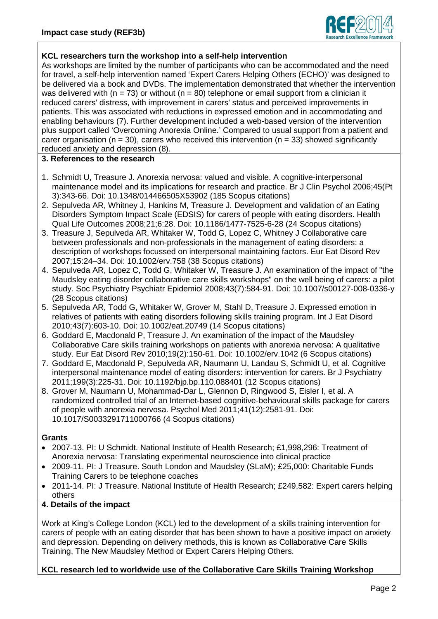

# **KCL researchers turn the workshop into a self-help intervention**

As workshops are limited by the number of participants who can be accommodated and the need for travel, a self-help intervention named 'Expert Carers Helping Others (ECHO)' was designed to be delivered via a book and DVDs. The implementation demonstrated that whether the intervention was delivered with ( $n = 73$ ) or without ( $n = 80$ ) telephone or email support from a clinician it reduced carers' distress, with improvement in carers' status and perceived improvements in patients. This was associated with reductions in expressed emotion and in accommodating and enabling behaviours (7). Further development included a web-based version of the intervention plus support called 'Overcoming Anorexia Online.' Compared to usual support from a patient and carer organisation ( $n = 30$ ), carers who received this intervention ( $n = 33$ ) showed significantly reduced anxiety and depression (8).

### **3. References to the research**

- 1. Schmidt U, Treasure J. Anorexia nervosa: valued and visible. A cognitive-interpersonal maintenance model and its implications for research and practice. Br J Clin Psychol 2006;45(Pt 3):343-66. Doi: 10.1348/014466505X53902 (185 Scopus citations)
- 2. Sepulveda AR, Whitney J, Hankins M, Treasure J. Development and validation of an Eating Disorders Symptom Impact Scale (EDSIS) for carers of people with eating disorders. Health Qual Life Outcomes 2008;21;6:28. Doi: 10.1186/1477-7525-6-28 (24 Scopus citations)
- 3. Treasure J, Sepulveda AR, Whitaker W, Todd G, Lopez C, Whitney J Collaborative care between professionals and non-professionals in the management of eating disorders: a description of workshops focussed on interpersonal maintaining factors. Eur Eat Disord Rev 2007;15:24–34. Doi: 10.1002/erv.758 (38 Scopus citations)
- 4. Sepulveda AR, Lopez C, Todd G, Whitaker W, Treasure J. An examination of the impact of "the Maudsley eating disorder collaborative care skills workshops" on the well being of carers: a pilot study. Soc Psychiatry Psychiatr Epidemiol 2008;43(7):584-91. Doi: 10.1007/s00127-008-0336-y (28 Scopus citations)
- 5. Sepulveda AR, Todd G, Whitaker W, Grover M, Stahl D, Treasure J. Expressed emotion in relatives of patients with eating disorders following skills training program. Int J Eat Disord 2010;43(7):603-10. Doi: 10.1002/eat.20749 (14 Scopus citations)
- 6. Goddard E, Macdonald P, Treasure J. An examination of the impact of the Maudsley Collaborative Care skills training workshops on patients with anorexia nervosa: A qualitative study. Eur Eat Disord Rev 2010;19(2):150-61. Doi: 10.1002/erv.1042 (6 Scopus citations)
- 7. Goddard E, Macdonald P, Sepulveda AR, Naumann U, Landau S, Schmidt U, et al. Cognitive interpersonal maintenance model of eating disorders: intervention for carers. Br J Psychiatry 2011;199(3):225-31. Doi: 10.1192/bjp.bp.110.088401 (12 Scopus citations)
- 8. Grover M, Naumann U, Mohammad-Dar L, Glennon D, Ringwood S, Eisler I, et al. A randomized controlled trial of an Internet-based cognitive-behavioural skills package for carers of people with anorexia nervosa. Psychol Med 2011;41(12):2581-91. Doi: 10.1017/S0033291711000766 (4 Scopus citations)

# **Grants**

- 2007-13. PI: U Schmidt. National Institute of Health Research; £1,998,296: Treatment of Anorexia nervosa: Translating experimental neuroscience into clinical practice
- 2009-11. PI: J Treasure. South London and Maudsley (SLaM); £25,000: Charitable Funds Training Carers to be telephone coaches
- 2011-14. PI: J Treasure. National Institute of Health Research; £249,582: Expert carers helping others

### **4. Details of the impact**

Work at King's College London (KCL) led to the development of a skills training intervention for carers of people with an eating disorder that has been shown to have a positive impact on anxiety and depression. Depending on delivery methods, this is known as Collaborative Care Skills Training, The New Maudsley Method or Expert Carers Helping Others.

### **KCL research led to worldwide use of the Collaborative Care Skills Training Workshop**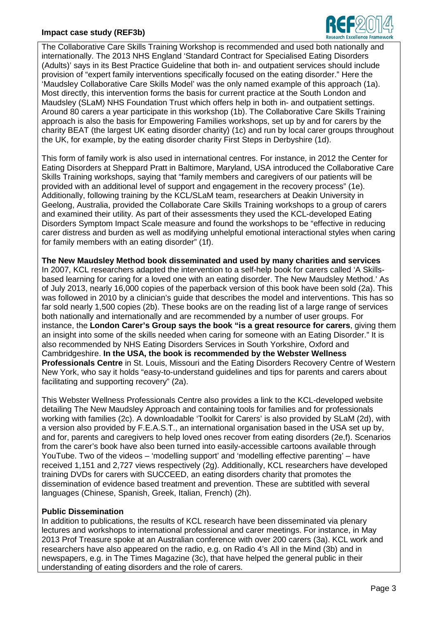### **Impact case study (REF3b)**



The Collaborative Care Skills Training Workshop is recommended and used both nationally and internationally. The 2013 NHS England 'Standard Contract for Specialised Eating Disorders (Adults)' says in its Best Practice Guideline that both in- and outpatient services should include provision of "expert family interventions specifically focused on the eating disorder." Here the 'Maudsley Collaborative Care Skills Model' was the only named example of this approach (1a). Most directly, this intervention forms the basis for current practice at the South London and Maudsley (SLaM) NHS Foundation Trust which offers help in both in- and outpatient settings. Around 80 carers a year participate in this workshop (1b). The Collaborative Care Skills Training approach is also the basis for Empowering Families workshops, set up by and for carers by the charity BEAT (the largest UK eating disorder charity) (1c) and run by local carer groups throughout the UK, for example, by the eating disorder charity First Steps in Derbyshire (1d).

This form of family work is also used in international centres. For instance, in 2012 the Center for Eating Disorders at Sheppard Pratt in Baltimore, Maryland, USA introduced the Collaborative Care Skills Training workshops, saying that "family members and caregivers of our patients will be provided with an additional level of support and engagement in the recovery process" (1e). Additionally, following training by the KCL/SLaM team, researchers at Deakin University in Geelong, Australia, provided the Collaborate Care Skills Training workshops to a group of carers and examined their utility. As part of their assessments they used the KCL-developed Eating Disorders Symptom Impact Scale measure and found the workshops to be "effective in reducing carer distress and burden as well as modifying unhelpful emotional interactional styles when caring for family members with an eating disorder" (1f).

**The New Maudsley Method book disseminated and used by many charities and services** In 2007, KCL researchers adapted the intervention to a self-help book for carers called 'A Skillsbased learning for caring for a loved one with an eating disorder. The New Maudsley Method.' As of July 2013, nearly 16,000 copies of the paperback version of this book have been sold (2a). This was followed in 2010 by a clinician's guide that describes the model and interventions. This has so far sold nearly 1,500 copies (2b). These books are on the reading list of a large range of services both nationally and internationally and are recommended by a number of user groups. For instance, the **London Carer's Group says the book "is a great resource for carers**, giving them an insight into some of the skills needed when caring for someone with an Eating Disorder." It is also recommended by NHS Eating Disorders Services in South Yorkshire, Oxford and Cambridgeshire. **In the USA, the book is recommended by the Webster Wellness Professionals Centre** in St. Louis, Missouri and the Eating Disorders Recovery Centre of Western New York, who say it holds "easy-to-understand guidelines and tips for parents and carers about facilitating and supporting recovery" (2a).

This Webster Wellness Professionals Centre also provides a link to the KCL-developed website detailing The New Maudsley Approach and containing tools for families and for professionals working with families (2c). A downloadable 'Toolkit for Carers' is also provided by SLaM (2d), with a version also provided by F.E.A.S.T., an international organisation based in the USA set up by, and for, parents and caregivers to help loved ones recover from eating disorders (2e,f). Scenarios from the carer's book have also been turned into easily-accessible cartoons available through YouTube. Two of the videos – 'modelling support' and 'modelling effective parenting' – have received 1,151 and 2,727 views respectively (2g). Additionally, KCL researchers have developed training DVDs for carers with SUCCEED, an eating disorders charity that promotes the dissemination of evidence based treatment and prevention. These are subtitled with several languages (Chinese, Spanish, Greek, Italian, French) (2h).

### **Public Dissemination**

In addition to publications, the results of KCL research have been disseminated via plenary lectures and workshops to international professional and carer meetings. For instance, in May 2013 Prof Treasure spoke at an Australian conference with over 200 carers (3a). KCL work and researchers have also appeared on the radio, e.g. on Radio 4's All in the Mind (3b) and in newspapers, e.g. in The Times Magazine (3c), that have helped the general public in their understanding of eating disorders and the role of carers.